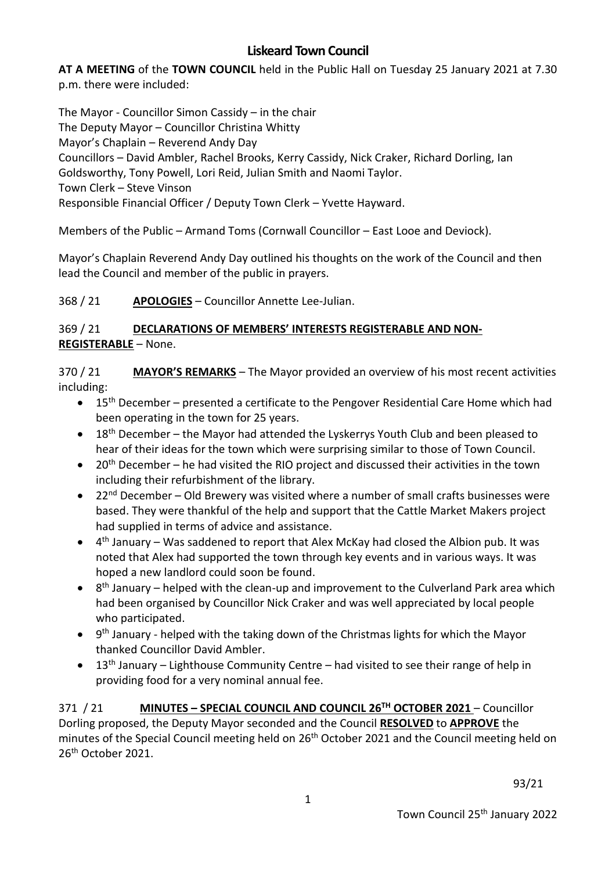# **Liskeard Town Council**

**AT A MEETING** of the **TOWN COUNCIL** held in the Public Hall on Tuesday 25 January 2021 at 7.30 p.m. there were included:

The Mayor - Councillor Simon Cassidy – in the chair The Deputy Mayor – Councillor Christina Whitty Mayor's Chaplain – Reverend Andy Day Councillors – David Ambler, Rachel Brooks, Kerry Cassidy, Nick Craker, Richard Dorling, Ian Goldsworthy, Tony Powell, Lori Reid, Julian Smith and Naomi Taylor. Town Clerk – Steve Vinson Responsible Financial Officer / Deputy Town Clerk – Yvette Hayward.

Members of the Public – Armand Toms (Cornwall Councillor – East Looe and Deviock).

Mayor's Chaplain Reverend Andy Day outlined his thoughts on the work of the Council and then lead the Council and member of the public in prayers.

368 / 21 **APOLOGIES** – Councillor Annette Lee-Julian.

#### 369 / 21 **DECLARATIONS OF MEMBERS' INTERESTS REGISTERABLE AND NON-REGISTERABLE** – None.

370 / 21 **MAYOR'S REMARKS** – The Mayor provided an overview of his most recent activities including:

- 15th December presented a certificate to the Pengover Residential Care Home which had been operating in the town for 25 years.
- 18<sup>th</sup> December the Mayor had attended the Lyskerrys Youth Club and been pleased to hear of their ideas for the town which were surprising similar to those of Town Council.
- 20<sup>th</sup> December he had visited the RIO project and discussed their activities in the town including their refurbishment of the library.
- 22<sup>nd</sup> December Old Brewery was visited where a number of small crafts businesses were based. They were thankful of the help and support that the Cattle Market Makers project had supplied in terms of advice and assistance.
- $\bullet$  4<sup>th</sup> January Was saddened to report that Alex McKay had closed the Albion pub. It was noted that Alex had supported the town through key events and in various ways. It was hoped a new landlord could soon be found.
- $\bullet$  8<sup>th</sup> January helped with the clean-up and improvement to the Culverland Park area which had been organised by Councillor Nick Craker and was well appreciated by local people who participated.
- 9<sup>th</sup> January helped with the taking down of the Christmas lights for which the Mayor thanked Councillor David Ambler.
- 13<sup>th</sup> January Lighthouse Community Centre had visited to see their range of help in providing food for a very nominal annual fee.

371 / 21 **MINUTES – SPECIAL COUNCIL AND COUNCIL 26TH OCTOBER 2021** – Councillor Dorling proposed, the Deputy Mayor seconded and the Council **RESOLVED** to **APPROVE** the minutes of the Special Council meeting held on 26<sup>th</sup> October 2021 and the Council meeting held on 26<sup>th</sup> October 2021.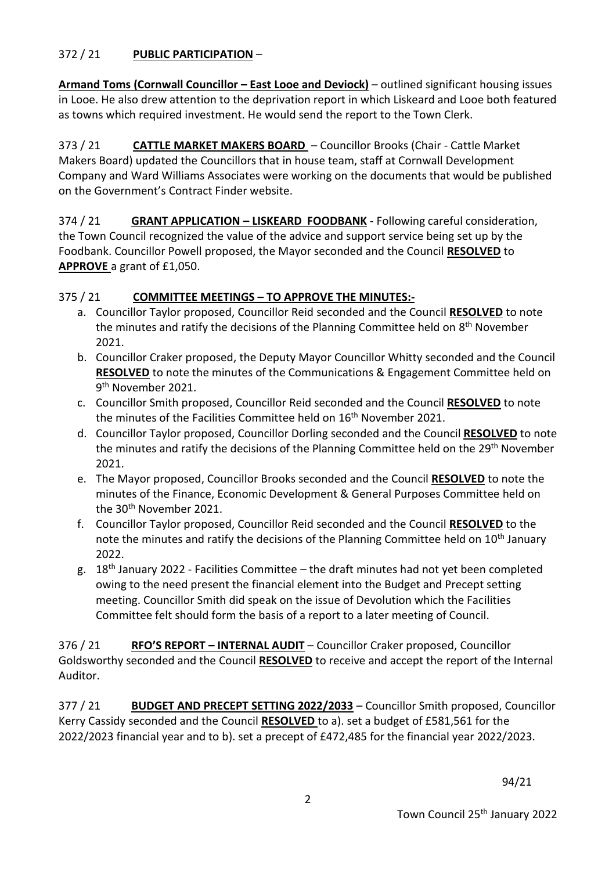#### 372 / 21 **PUBLIC PARTICIPATION** –

**Armand Toms (Cornwall Councillor – East Looe and Deviock)** – outlined significant housing issues in Looe. He also drew attention to the deprivation report in which Liskeard and Looe both featured as towns which required investment. He would send the report to the Town Clerk.

373 / 21 **CATTLE MARKET MAKERS BOARD** – Councillor Brooks (Chair - Cattle Market Makers Board) updated the Councillors that in house team, staff at Cornwall Development Company and Ward Williams Associates were working on the documents that would be published on the Government's Contract Finder website.

374 / 21 **GRANT APPLICATION – LISKEARD FOODBANK** - Following careful consideration, the Town Council recognized the value of the advice and support service being set up by the Foodbank. Councillor Powell proposed, the Mayor seconded and the Council **RESOLVED** to **APPROVE** a grant of £1,050.

#### 375 / 21 **COMMITTEE MEETINGS – TO APPROVE THE MINUTES:-**

- a. Councillor Taylor proposed, Councillor Reid seconded and the Council **RESOLVED** to note the minutes and ratify the decisions of the Planning Committee held on 8<sup>th</sup> November 2021.
- b. Councillor Craker proposed, the Deputy Mayor Councillor Whitty seconded and the Council **RESOLVED** to note the minutes of the Communications & Engagement Committee held on 9<sup>th</sup> November 2021.
- c. Councillor Smith proposed, Councillor Reid seconded and the Council **RESOLVED** to note the minutes of the Facilities Committee held on 16<sup>th</sup> November 2021.
- d. Councillor Taylor proposed, Councillor Dorling seconded and the Council **RESOLVED** to note the minutes and ratify the decisions of the Planning Committee held on the 29<sup>th</sup> November 2021.
- e. The Mayor proposed, Councillor Brooks seconded and the Council **RESOLVED** to note the minutes of the Finance, Economic Development & General Purposes Committee held on the 30th November 2021.
- f. Councillor Taylor proposed, Councillor Reid seconded and the Council **RESOLVED** to the note the minutes and ratify the decisions of the Planning Committee held on 10<sup>th</sup> January 2022.
- g. 18th January 2022 Facilities Committee the draft minutes had not yet been completed owing to the need present the financial element into the Budget and Precept setting meeting. Councillor Smith did speak on the issue of Devolution which the Facilities Committee felt should form the basis of a report to a later meeting of Council.

376 / 21 **RFO'S REPORT – INTERNAL AUDIT** – Councillor Craker proposed, Councillor Goldsworthy seconded and the Council **RESOLVED** to receive and accept the report of the Internal Auditor.

377 / 21 **BUDGET AND PRECEPT SETTING 2022/2033** – Councillor Smith proposed, Councillor Kerry Cassidy seconded and the Council **RESOLVED** to a). set a budget of £581,561 for the 2022/2023 financial year and to b). set a precept of £472,485 for the financial year 2022/2023.

94/21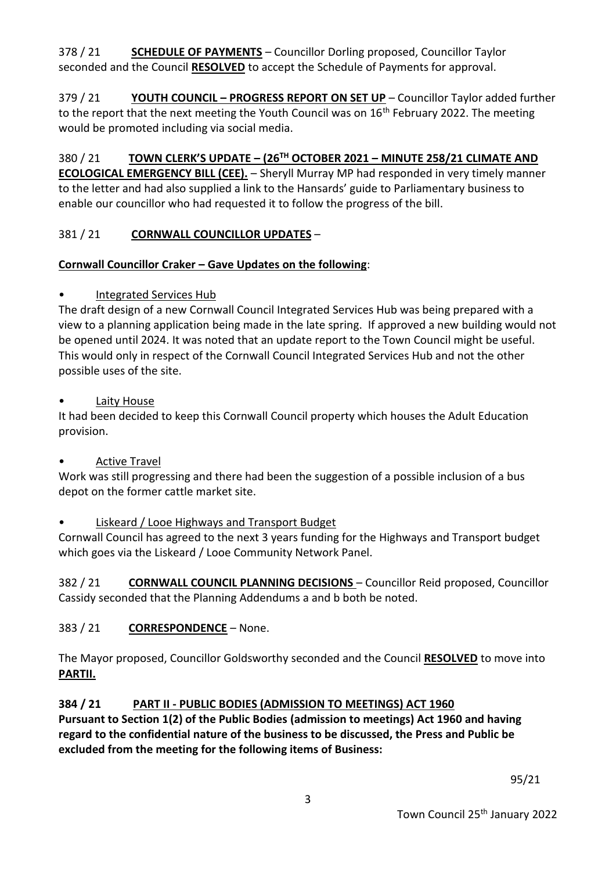378 / 21 **SCHEDULE OF PAYMENTS** – Councillor Dorling proposed, Councillor Taylor seconded and the Council **RESOLVED** to accept the Schedule of Payments for approval.

379 / 21 **YOUTH COUNCIL – PROGRESS REPORT ON SET UP** – Councillor Taylor added further to the report that the next meeting the Youth Council was on 16<sup>th</sup> February 2022. The meeting would be promoted including via social media.

380 / 21 **TOWN CLERK'S UPDATE – (26TH OCTOBER 2021 – MINUTE 258/21 CLIMATE AND ECOLOGICAL EMERGENCY BILL (CEE).** – Sheryll Murray MP had responded in very timely manner to the letter and had also supplied a link to the Hansards' guide to Parliamentary business to enable our councillor who had requested it to follow the progress of the bill.

# 381 / 21 **CORNWALL COUNCILLOR UPDATES** –

# **Cornwall Councillor Craker – Gave Updates on the following**:

# • Integrated Services Hub

The draft design of a new Cornwall Council Integrated Services Hub was being prepared with a view to a planning application being made in the late spring. If approved a new building would not be opened until 2024. It was noted that an update report to the Town Council might be useful. This would only in respect of the Cornwall Council Integrated Services Hub and not the other possible uses of the site.

# Laity House

It had been decided to keep this Cornwall Council property which houses the Adult Education provision.

# • Active Travel

Work was still progressing and there had been the suggestion of a possible inclusion of a bus depot on the former cattle market site.

# • Liskeard / Looe Highways and Transport Budget

Cornwall Council has agreed to the next 3 years funding for the Highways and Transport budget which goes via the Liskeard / Looe Community Network Panel.

382 / 21 **CORNWALL COUNCIL PLANNING DECISIONS** – Councillor Reid proposed, Councillor Cassidy seconded that the Planning Addendums a and b both be noted.

# 383 / 21 **CORRESPONDENCE** – None.

The Mayor proposed, Councillor Goldsworthy seconded and the Council **RESOLVED** to move into **PARTII.**

# **384 / 21 PART II - PUBLIC BODIES (ADMISSION TO MEETINGS) ACT 1960**

**Pursuant to Section 1(2) of the Public Bodies (admission to meetings) Act 1960 and having regard to the confidential nature of the business to be discussed, the Press and Public be excluded from the meeting for the following items of Business:**

95/21